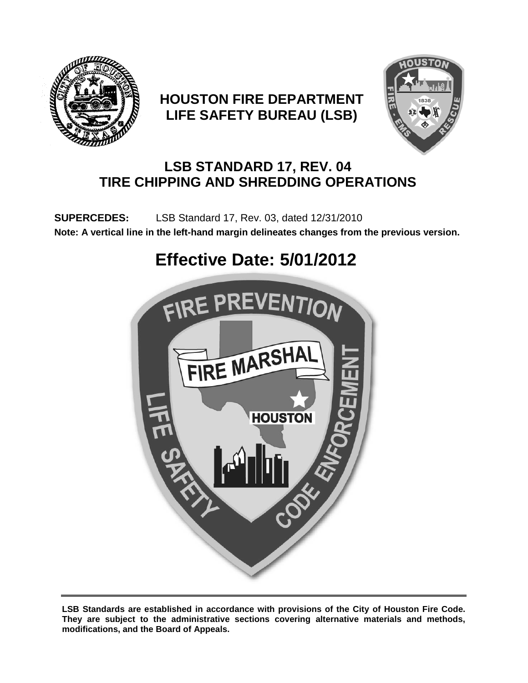

## **HOUSTON FIRE DEPARTMENT LIFE SAFETY BUREAU (LSB)**



## **LSB STANDARD 17, REV. 04 TIRE CHIPPING AND SHREDDING OPERATIONS**

 **SUPERCEDES:** LSB Standard 17, Rev. 03, dated 12/31/2010 **Note: A vertical line in the left-hand margin delineates changes from the previous version.** 

# **Effective Date: 5/01/2012**



**LSB Standards are established in accordance with provisions of the City of Houston Fire Code. They are subject to the administrative sections covering alternative materials and methods, modifications, and the Board of Appeals.**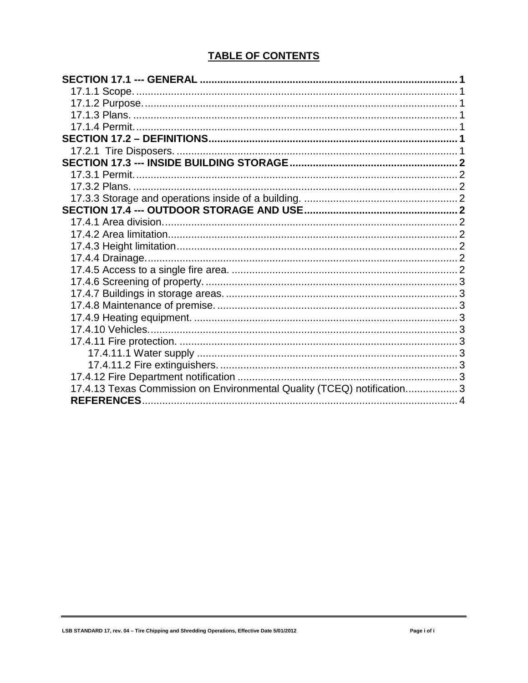#### **TABLE OF CONTENTS**

| 17.4.13 Texas Commission on Environmental Quality (TCEQ) notification 3 |  |
|-------------------------------------------------------------------------|--|
|                                                                         |  |
|                                                                         |  |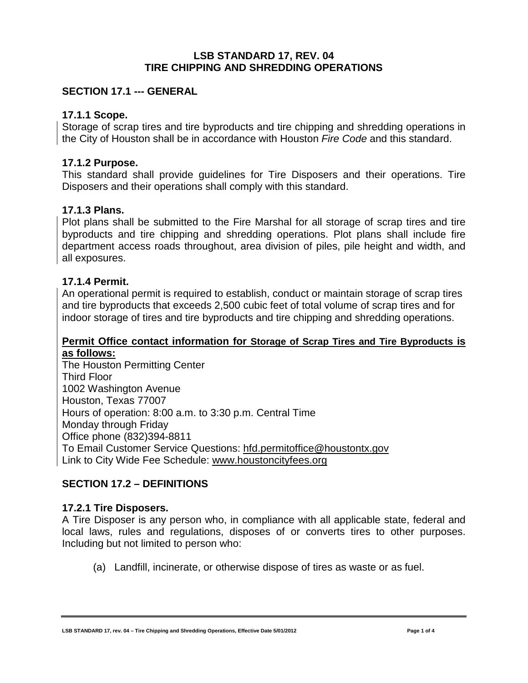#### **LSB STANDARD 17, REV. 04 TIRE CHIPPING AND SHREDDING OPERATIONS**

#### <span id="page-2-0"></span>**SECTION 17.1 --- GENERAL**

#### <span id="page-2-1"></span>**17.1.1 Scope.**

Storage of scrap tires and tire byproducts and tire chipping and shredding operations in the City of Houston shall be in accordance with Houston *Fire Code* and this standard.

#### <span id="page-2-2"></span>**17.1.2 Purpose.**

This standard shall provide guidelines for Tire Disposers and their operations. Tire Disposers and their operations shall comply with this standard.

#### <span id="page-2-3"></span>**17.1.3 Plans.**

Plot plans shall be submitted to the Fire Marshal for all storage of scrap tires and tire byproducts and tire chipping and shredding operations. Plot plans shall include fire department access roads throughout, area division of piles, pile height and width, and all exposures.

#### <span id="page-2-4"></span>**17.1.4 Permit.**

An operational permit is required to establish, conduct or maintain storage of scrap tires and tire byproducts that exceeds 2,500 cubic feet of total volume of scrap tires and for indoor storage of tires and tire byproducts and tire chipping and shredding operations.

#### **Permit Office contact information for Storage of Scrap Tires and Tire Byproducts is as follows:**

The Houston Permitting Center Third Floor 1002 Washington Avenue Houston, Texas 77007 Hours of operation: 8:00 a.m. to 3:30 p.m. Central Time Monday through Friday Office phone (832)394-8811 To Email Customer Service Questions: [hfd.permitoffice@houstontx.gov](mailto:hfd.permitoffice@houstontx.gov) Link to City Wide Fee Schedule: [www.houstoncityfees.org](http://www.houstoncityfees.org/)

#### <span id="page-2-5"></span>**SECTION 17.2 – DEFINITIONS**

#### <span id="page-2-6"></span>**17.2.1 Tire Disposers.**

A Tire Disposer is any person who, in compliance with all applicable state, federal and local laws, rules and regulations, disposes of or converts tires to other purposes. Including but not limited to person who:

(a) Landfill, incinerate, or otherwise dispose of tires as waste or as fuel.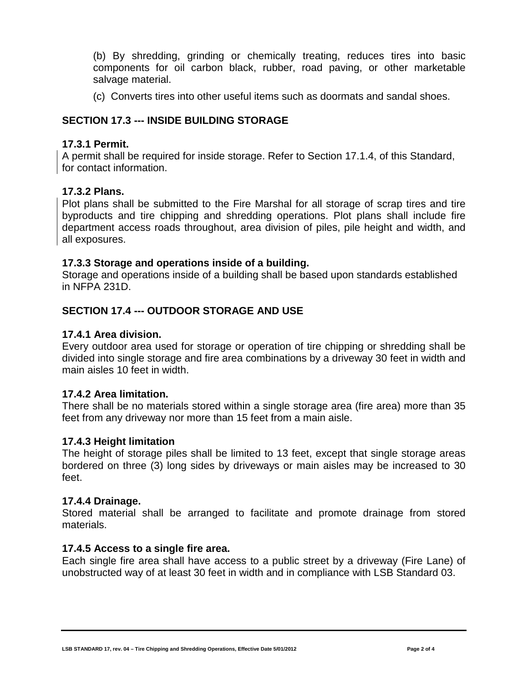(b) By shredding, grinding or chemically treating, reduces tires into basic components for oil carbon black, rubber, road paving, or other marketable salvage material.

(c) Converts tires into other useful items such as doormats and sandal shoes.

#### <span id="page-3-0"></span>**SECTION 17.3 --- INSIDE BUILDING STORAGE**

#### <span id="page-3-1"></span>**17.3.1 Permit.**

A permit shall be required for inside storage. Refer to Section 17.1.4, of this Standard, for contact information.

#### <span id="page-3-2"></span>**17.3.2 Plans.**

Plot plans shall be submitted to the Fire Marshal for all storage of scrap tires and tire byproducts and tire chipping and shredding operations. Plot plans shall include fire department access roads throughout, area division of piles, pile height and width, and all exposures.

#### <span id="page-3-3"></span>**17.3.3 Storage and operations inside of a building.**

Storage and operations inside of a building shall be based upon standards established in NFPA 231D.

#### <span id="page-3-4"></span>**SECTION 17.4 --- OUTDOOR STORAGE AND USE**

#### <span id="page-3-5"></span>**17.4.1 Area division.**

Every outdoor area used for storage or operation of tire chipping or shredding shall be divided into single storage and fire area combinations by a driveway 30 feet in width and main aisles 10 feet in width.

#### <span id="page-3-6"></span>**17.4.2 Area limitation.**

There shall be no materials stored within a single storage area (fire area) more than 35 feet from any driveway nor more than 15 feet from a main aisle.

#### <span id="page-3-7"></span>**17.4.3 Height limitation**

The height of storage piles shall be limited to 13 feet, except that single storage areas bordered on three (3) long sides by driveways or main aisles may be increased to 30 feet.

#### <span id="page-3-8"></span>**17.4.4 Drainage.**

Stored material shall be arranged to facilitate and promote drainage from stored materials.

#### <span id="page-3-9"></span>**17.4.5 Access to a single fire area.**

Each single fire area shall have access to a public street by a driveway (Fire Lane) of unobstructed way of at least 30 feet in width and in compliance with LSB Standard 03.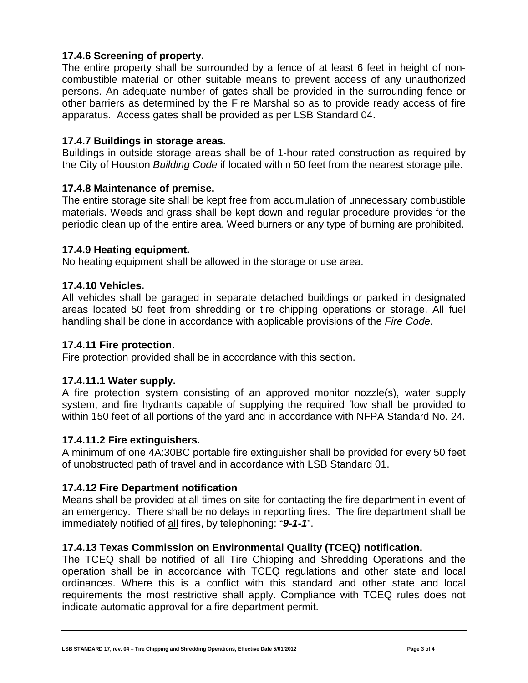#### <span id="page-4-0"></span>**17.4.6 Screening of property.**

The entire property shall be surrounded by a fence of at least 6 feet in height of noncombustible material or other suitable means to prevent access of any unauthorized persons. An adequate number of gates shall be provided in the surrounding fence or other barriers as determined by the Fire Marshal so as to provide ready access of fire apparatus. Access gates shall be provided as per LSB Standard 04.

#### <span id="page-4-1"></span>**17.4.7 Buildings in storage areas.**

Buildings in outside storage areas shall be of 1-hour rated construction as required by the City of Houston *Building Code* if located within 50 feet from the nearest storage pile.

#### <span id="page-4-2"></span>**17.4.8 Maintenance of premise.**

The entire storage site shall be kept free from accumulation of unnecessary combustible materials. Weeds and grass shall be kept down and regular procedure provides for the periodic clean up of the entire area. Weed burners or any type of burning are prohibited.

#### <span id="page-4-3"></span>**17.4.9 Heating equipment.**

No heating equipment shall be allowed in the storage or use area.

#### <span id="page-4-4"></span>**17.4.10 Vehicles.**

All vehicles shall be garaged in separate detached buildings or parked in designated areas located 50 feet from shredding or tire chipping operations or storage. All fuel handling shall be done in accordance with applicable provisions of the *Fire Code*.

#### <span id="page-4-5"></span>**17.4.11 Fire protection.**

Fire protection provided shall be in accordance with this section.

#### <span id="page-4-6"></span>**17.4.11.1 Water supply.**

A fire protection system consisting of an approved monitor nozzle(s), water supply system, and fire hydrants capable of supplying the required flow shall be provided to within 150 feet of all portions of the yard and in accordance with NFPA Standard No. 24.

#### <span id="page-4-7"></span>**17.4.11.2 Fire extinguishers.**

A minimum of one 4A:30BC portable fire extinguisher shall be provided for every 50 feet of unobstructed path of travel and in accordance with LSB Standard 01.

#### <span id="page-4-8"></span>**17.4.12 Fire Department notification**

Means shall be provided at all times on site for contacting the fire department in event of an emergency. There shall be no delays in reporting fires. The fire department shall be immediately notified of all fires, by telephoning: "*9-1-1*".

#### <span id="page-4-9"></span>**17.4.13 Texas Commission on Environmental Quality (TCEQ) notification.**

The TCEQ shall be notified of all Tire Chipping and Shredding Operations and the operation shall be in accordance with TCEQ regulations and other state and local ordinances. Where this is a conflict with this standard and other state and local requirements the most restrictive shall apply. Compliance with TCEQ rules does not indicate automatic approval for a fire department permit.